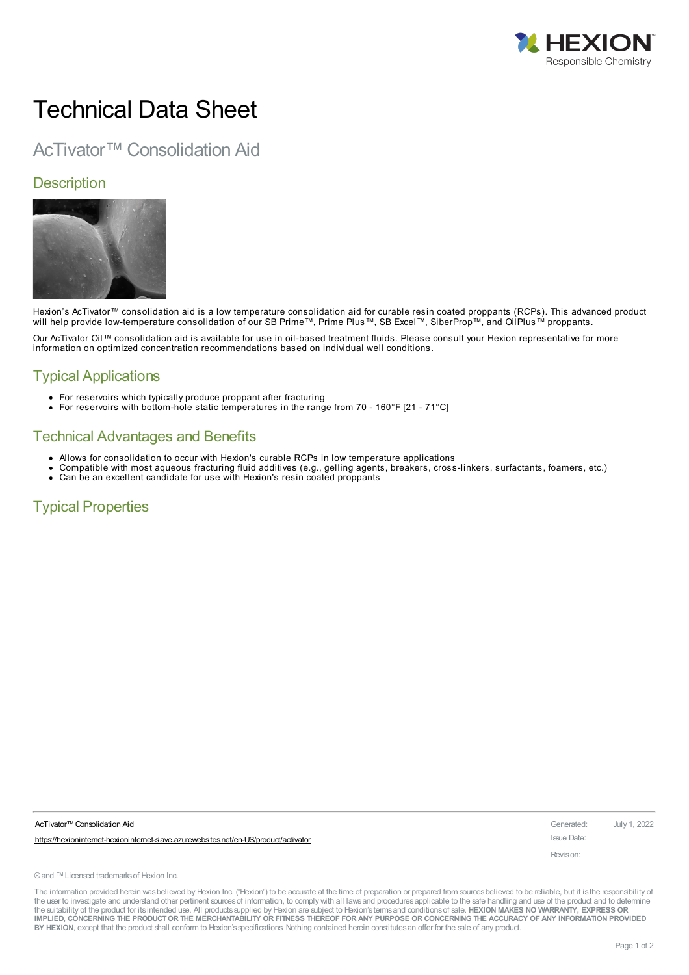

# Technical Data Sheet

## AcTivator™ Consolidation Aid

#### **Description**



Hexion's AcTivator™ consolidation aid is a low temperature consolidation aid for curable resin coated proppants (RCPs). This advanced product will help provide low-temperature consolidation of our SB Prime™, Prime Plus™, SB Excel™, SiberProp™, and OilPlus™ proppants.

Our AcTivator Oil™ consolidation aid is available for use in oil-based treatment fluids. Please consult your Hexion representative for more information on optimized concentration recommendations based on individual well conditions.

## Typical Applications

- For reservoirs which typically produce proppant after fracturing
- For reservoirs with bottom-hole static temperatures in the range from 70 160°F [21 71°C]

#### Technical Advantages and Benefits

- Allows for consolidation to occur with Hexion's curable RCPs in low temperature applications
- Compatible with most aqueous fracturing fluid additives (e.g., gelling agents, breakers, cross-linkers, surfactants, foamers, etc.)
- Can be an excellent candidate for use with Hexion's resin coated proppants

## Typical Properties

| AcTivator™ Consolidation Aid                                                          | Generated: July 1, 2022 |  |
|---------------------------------------------------------------------------------------|-------------------------|--|
| https://hexioninternet-hexioninternet-slave.azurewebsites.net/en-US/product/activator | Issue Date:             |  |
|                                                                                       | Revision:               |  |
|                                                                                       |                         |  |

®and ™Licensed trademarksof Hexion Inc.

The information provided herein was believed by Hexion Inc. ("Hexion") to be accurate at the time of preparation or prepared from sources believed to be reliable, but it is the responsibility of the user to investigate and understand other pertinent sources of information, to comply with all laws and procedures applicable to the safe handling and use of the product and to determine the suitability of the product for itsintended use. All productssupplied by Hexion are subject to Hexion'stermsand conditionsof sale. **HEXION MAKES NO WARRANTY, EXPRESS OR** IMPLIED, CONCERNING THE PRODUCT OR THE MERCHANTABILITY OR FITNESS THEREOF FOR ANY PURPOSE OR CONCERNING THE ACCURACY OF ANY INFORMATION PROVIDED **BY HEXION**, except that the product shall conform to Hexion'sspecifications. Nothing contained herein constitutesan offer for the sale of any product.